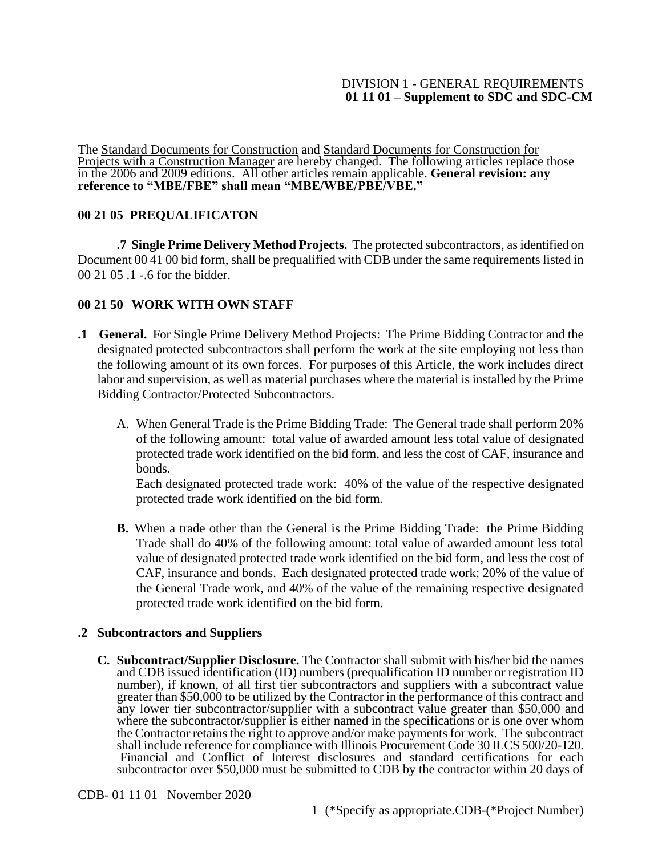### DIVISION 1 - GENERAL REQUIREMENTS **01 11 01 – Supplement to SDC and SDC-CM**

The Standard Documents for Construction and Standard Documents for Construction for Projects with a Construction Manager are hereby changed. The following articles replace those in the 2006 and 2009 editions. All other articles remain applicable. **General revision: any reference to "MBE/FBE" shall mean "MBE/WBE/PBE/VBE."** 

## **00 21 05 PREQUALIFICATON**

**.7 Single Prime Delivery Method Projects.** The protected subcontractors, as identified on Document 00 41 00 bid form, shall be prequalified with CDB under the same requirements listed in 00 21 05 .1 -.6 for the bidder.

## **00 21 50 WORK WITH OWN STAFF**

- **.1 General.** For Single Prime Delivery Method Projects: The Prime Bidding Contractor and the designated protected subcontractors shall perform the work at the site employing not less than the following amount of its own forces. For purposes of this Article, the work includes direct labor and supervision, as well as material purchases where the material is installed by the Prime Bidding Contractor/Protected Subcontractors.
	- A. When General Trade is the Prime Bidding Trade: The General trade shall perform 20% of the following amount: total value of awarded amount less total value of designated protected trade work identified on the bid form, and less the cost of CAF, insurance and bonds.

Each designated protected trade work: 40% of the value of the respective designated protected trade work identified on the bid form.

**B.** When a trade other than the General is the Prime Bidding Trade: the Prime Bidding Trade shall do 40% of the following amount: total value of awarded amount less total value of designated protected trade work identified on the bid form, and less the cost of CAF, insurance and bonds. Each designated protected trade work: 20% of the value of the General Trade work, and 40% of the value of the remaining respective designated protected trade work identified on the bid form.

## **.2 Subcontractors and Suppliers**

**C. Subcontract/Supplier Disclosure.** The Contractor shall submit with his/her bid the names and CDB issued identification (ID) numbers (prequalification ID number or registration ID number), if known, of all first tier subcontractors and suppliers with a subcontract value greater than \$50,000 to be utilized by the Contractor in the performance of this contract and any lower tier subcontractor/supplier with a subcontract value greater than \$50,000 and where the subcontractor/supplier is either named in the specifications or is one over whom the Contractor retains the right to approve and/or make payments for work. The subcontract shall include reference for compliance with Illinois Procurement Code 30 ILCS 500/20-120. Financial and Conflict of Interest disclosures and standard certifications for each subcontractor over \$50,000 must be submitted to CDB by the contractor within 20 days of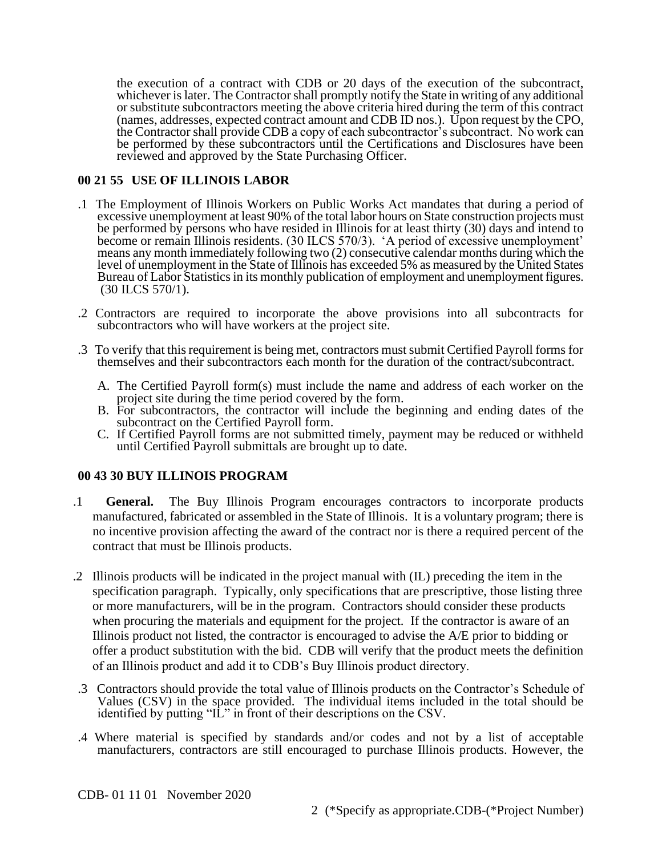the execution of a contract with CDB or 20 days of the execution of the subcontract, whichever is later. The Contractor shall promptly notify the State in writing of any additional or substitute subcontractors meeting the above criteria hired during the term of this contract (names, addresses, expected contract amount and CDB ID nos.). Upon request by the CPO, the Contractor shall provide CDB a copy of each subcontractor's subcontract. No work can be performed by these subcontractors until the Certifications and Disclosures have been reviewed and approved by the State Purchasing Officer.

## **00 21 55 USE OF ILLINOIS LABOR**

- .1 The Employment of Illinois Workers on Public Works Act mandates that during a period of excessive unemployment at least 90% of the total labor hours on State construction projects must be performed by persons who have resided in Illinois for at least thirty (30) days and intend to become or remain Illinois residents. (30 ILCS 570/3). 'A period of excessive unemployment' means any month immediately following two (2) consecutive calendar months during which the level of unemployment in the State of Illinois has exceeded 5% as measured by the United States Bureau of Labor Statistics in its monthly publication of employment and unemployment figures. (30 ILCS 570/1).
- .2 Contractors are required to incorporate the above provisions into all subcontracts for subcontractors who will have workers at the project site.
- .3 To verify that this requirement is being met, contractors must submit Certified Payroll forms for themselves and their subcontractors each month for the duration of the contract/subcontract.
	- A. The Certified Payroll form(s) must include the name and address of each worker on the project site during the time period covered by the form.
	- B. For subcontractors, the contractor will include the beginning and ending dates of the subcontract on the Certified Payroll form.
	- C. If Certified Payroll forms are not submitted timely, payment may be reduced or withheld until Certified Payroll submittals are brought up to date.

## **00 43 30 BUY ILLINOIS PROGRAM**

- .1 **General.** The Buy Illinois Program encourages contractors to incorporate products manufactured, fabricated or assembled in the State of Illinois. It is a voluntary program; there is no incentive provision affecting the award of the contract nor is there a required percent of the contract that must be Illinois products.
- .2 Illinois products will be indicated in the project manual with (IL) preceding the item in the specification paragraph. Typically, only specifications that are prescriptive, those listing three or more manufacturers, will be in the program. Contractors should consider these products when procuring the materials and equipment for the project. If the contractor is aware of an Illinois product not listed, the contractor is encouraged to advise the A/E prior to bidding or offer a product substitution with the bid. CDB will verify that the product meets the definition of an Illinois product and add it to CDB's Buy Illinois product directory.
- .3 Contractors should provide the total value of Illinois products on the Contractor's Schedule of Values (CSV) in the space provided. The individual items included in the total should be identified by putting "IL" in front of their descriptions on the CSV.
- .4 Where material is specified by standards and/or codes and not by a list of acceptable manufacturers, contractors are still encouraged to purchase Illinois products. However, the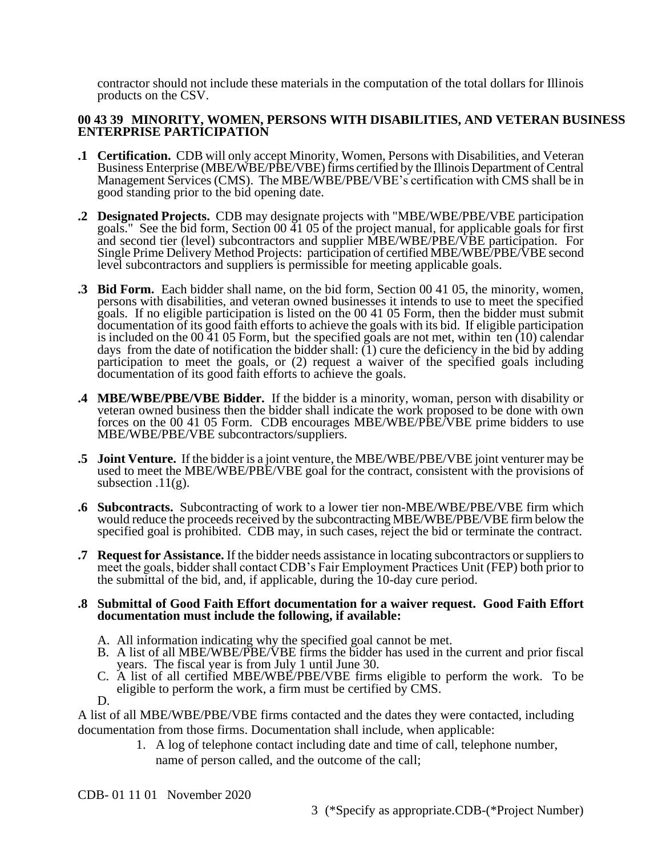contractor should not include these materials in the computation of the total dollars for Illinois products on the CSV.

### **00 43 39 MINORITY, WOMEN, PERSONS WITH DISABILITIES, AND VETERAN BUSINESS ENTERPRISE PARTICIPATION**

- **.1 Certification.** CDB will only accept Minority, Women, Persons with Disabilities, and Veteran Business Enterprise (MBE/WBE/PBE/VBE) firms certified by the Illinois Department of Central Management Services (CMS). The MBE/WBE/PBE/VBE's certification with CMS shall be in good standing prior to the bid opening date.
- **.2 Designated Projects.** CDB may designate projects with "MBE/WBE/PBE/VBE participation goals." See the bid form, Section 00 41 05 of the project manual, for applicable goals for first and second tier (level) subcontractors and supplier MBE/WBE/PBE/VBE participation. For Single Prime Delivery Method Projects: participation of certified MBE/WBE/PBE/VBE second level subcontractors and suppliers is permissible for meeting applicable goals.
- **.3 Bid Form.** Each bidder shall name, on the bid form, Section 00 41 05, the minority, women, persons with disabilities, and veteran owned businesses it intends to use to meet the specified goals. If no eligible participation is listed on the 00 41 05 Form, then the bidder must submit documentation of its good faith efforts to achieve the goals with its bid. If eligible participation is included on the 00 41 05 Form, but the specified goals are not met, within ten (10) calendar days from the date of notification the bidder shall:  $(1)$  cure the deficiency in the bid by adding participation to meet the goals, or (2) request a waiver of the specified goals including documentation of its good faith efforts to achieve the goals.
- **.4 MBE/WBE/PBE/VBE Bidder.** If the bidder is a minority, woman, person with disability or veteran owned business then the bidder shall indicate the work proposed to be done with own forces on the 00 41 05 Form. CDB encourages MBE/WBE/PBE/VBE prime bidders to use MBE/WBE/PBE/VBE subcontractors/suppliers.
- **.5 Joint Venture.** If the bidder is a joint venture, the MBE/WBE/PBE/VBE joint venturer may be used to meet the MBE/WBE/PBE/VBE goal for the contract, consistent with the provisions of subsection  $.11(g)$ .
- **.6 Subcontracts.** Subcontracting of work to a lower tier non-MBE/WBE/PBE/VBE firm which would reduce the proceeds received by the subcontracting MBE/WBE/PBE/VBE firm below the specified goal is prohibited. CDB may, in such cases, reject the bid or terminate the contract.
- **.7 Request for Assistance.** If the bidder needs assistance in locating subcontractors or suppliers to meet the goals, bidder shall contact CDB's Fair Employment Practices Unit (FEP) both prior to the submittal of the bid, and, if applicable, during the 10-day cure period.

#### **.8 Submittal of Good Faith Effort documentation for a waiver request. Good Faith Effort documentation must include the following, if available:**

- A. All information indicating why the specified goal cannot be met.
- B. A list of all MBE/WBE/PBE/VBE firms the bidder has used in the current and prior fiscal years. The fiscal year is from July 1 until June 30.
- C. A list of all certified MBE/WBE/PBE/VBE firms eligible to perform the work. To be eligible to perform the work, a firm must be certified by CMS.

D.

A list of all MBE/WBE/PBE/VBE firms contacted and the dates they were contacted, including documentation from those firms. Documentation shall include, when applicable:

- 1. A log of telephone contact including date and time of call, telephone number,
	- name of person called, and the outcome of the call;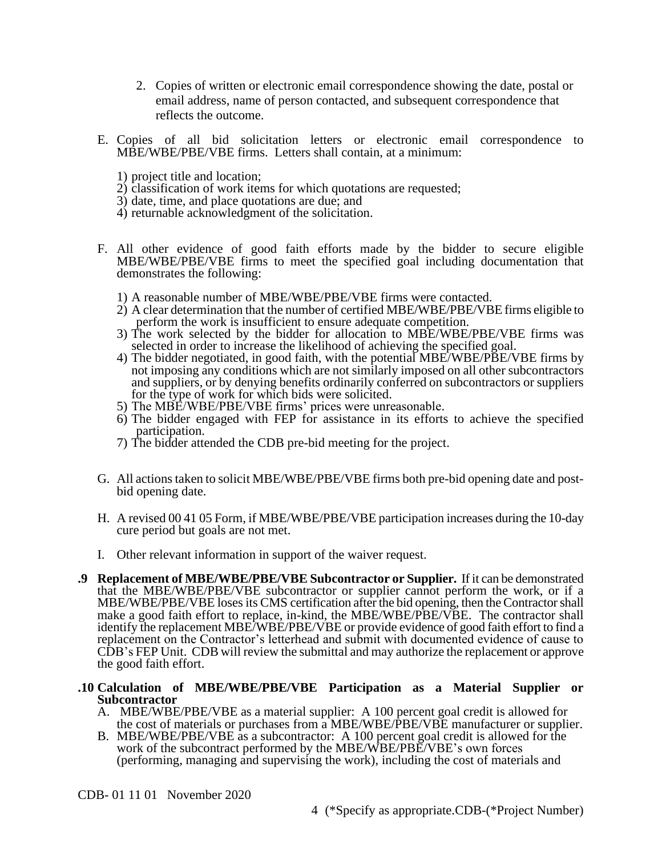- 2. Copies of written or electronic email correspondence showing the date, postal or email address, name of person contacted, and subsequent correspondence that reflects the outcome.
- E. Copies of all bid solicitation letters or electronic email correspondence to MBE/WBE/PBE/VBE firms. Letters shall contain, at a minimum:
	- 1) project title and location;
	- 2) classification of work items for which quotations are requested;
	- 3) date, time, and place quotations are due; and
	- 4) returnable acknowledgment of the solicitation.
- F. All other evidence of good faith efforts made by the bidder to secure eligible MBE/WBE/PBE/VBE firms to meet the specified goal including documentation that demonstrates the following:
	- 1) A reasonable number of MBE/WBE/PBE/VBE firms were contacted.
	- 2) A clear determination that the number of certified MBE/WBE/PBE/VBE firms eligible to perform the work is insufficient to ensure adequate competition.
	- 3) The work selected by the bidder for allocation to MBE/WBE/PBE/VBE firms was selected in order to increase the likelihood of achieving the specified goal.
	- 4) The bidder negotiated, in good faith, with the potential MBE/WBE/PBE/VBE firms by not imposing any conditions which are not similarly imposed on all other subcontractors and suppliers, or by denying benefits ordinarily conferred on subcontractors or suppliers for the type of work for which bids were solicited.
	- 5) The MBE/WBE/PBE/VBE firms' prices were unreasonable.
	- 6) The bidder engaged with FEP for assistance in its efforts to achieve the specified participation.
	- 7) The bidder attended the CDB pre-bid meeting for the project.
- G. All actions taken to solicit MBE/WBE/PBE/VBE firms both pre-bid opening date and postbid opening date.
- H. A revised 00 41 05 Form, if MBE/WBE/PBE/VBE participation increases during the 10-day cure period but goals are not met.
- I. Other relevant information in support of the waiver request.
- **.9 Replacement of MBE/WBE/PBE/VBE Subcontractor or Supplier.** If it can be demonstrated that the MBE/WBE/PBE/VBE subcontractor or supplier cannot perform the work, or if a MBE/WBE/PBE/VBE loses its CMS certification after the bid opening, then the Contractor shall make a good faith effort to replace, in-kind, the MBE/WBE/PBE/VBE. The contractor shall identify the replacement MBE/WBE/PBE/VBE or provide evidence of good faith effort to find a replacement on the Contractor's letterhead and submit with documented evidence of cause to CDB's FEP Unit. CDB will review the submittal and may authorize the replacement or approve the good faith effort.

#### **.10 Calculation of MBE/WBE/PBE/VBE Participation as a Material Supplier or Subcontractor**

- A. MBE/WBE/PBE/VBE as a material supplier: A 100 percent goal credit is allowed for the cost of materials or purchases from a MBE/WBE/PBE/VBE manufacturer or supplier.
- B. MBE/WBE/PBE/VBE as a subcontractor: A 100 percent goal credit is allowed for the work of the subcontract performed by the MBE/WBE/PBE/VBE's own forces (performing, managing and supervising the work), including the cost of materials and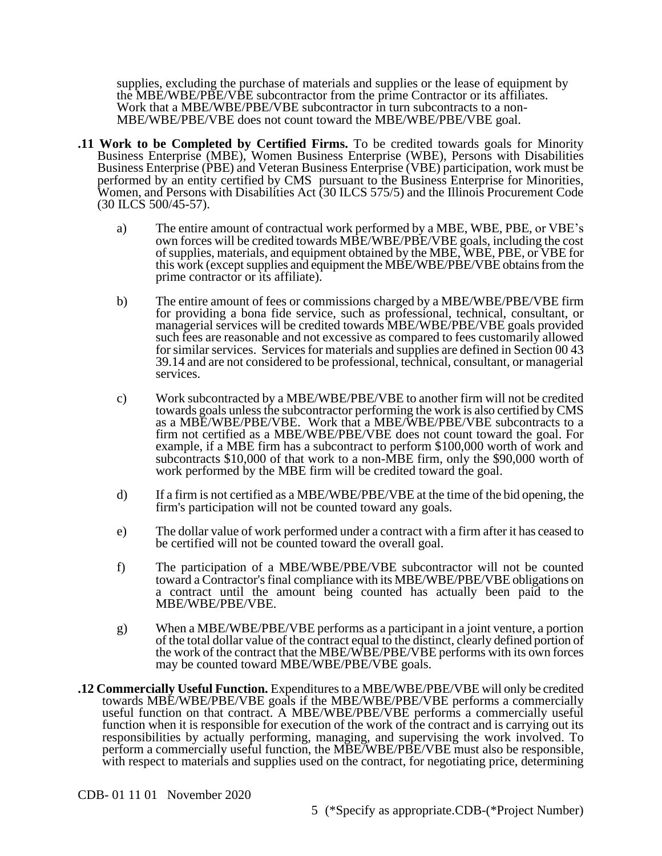supplies, excluding the purchase of materials and supplies or the lease of equipment by the MBE/WBE/PBE/VBE subcontractor from the prime Contractor or its affiliates. Work that a MBE/WBE/PBE/VBE subcontractor in turn subcontracts to a non-MBE/WBE/PBE/VBE does not count toward the MBE/WBE/PBE/VBE goal.

- **.11 Work to be Completed by Certified Firms.** To be credited towards goals for Minority Business Enterprise (MBE), Women Business Enterprise (WBE), Persons with Disabilities Business Enterprise (PBE) and Veteran Business Enterprise (VBE) participation, work must be performed by an entity certified by CMS pursuant to the Business Enterprise for Minorities, Women, and Persons with Disabilities Act (30 ILCS 575/5) and the Illinois Procurement Code (30 ILCS 500/45-57).
	- a) The entire amount of contractual work performed by a MBE, WBE, PBE, or VBE's own forces will be credited towards MBE/WBE/PBE/VBE goals, including the cost of supplies, materials, and equipment obtained by the MBE, WBE, PBE, or VBE for this work (except supplies and equipment the MBE/WBE/PBE/VBE obtains from the prime contractor or its affiliate).
	- b) The entire amount of fees or commissions charged by a MBE/WBE/PBE/VBE firm for providing a bona fide service, such as professional, technical, consultant, or managerial services will be credited towards MBE/WBE/PBE/VBE goals provided such fees are reasonable and not excessive as compared to fees customarily allowed for similar services. Services for materials and supplies are defined in Section 00 43 39.14 and are not considered to be professional, technical, consultant, or managerial services.
	- c) Work subcontracted by a MBE/WBE/PBE/VBE to another firm will not be credited towards goals unless the subcontractor performing the work is also certified by CMS as a MBE/WBE/PBE/VBE. Work that a MBE/WBE/PBE/VBE subcontracts to a firm not certified as a MBE/WBE/PBE/VBE does not count toward the goal. For example, if a MBE firm has a subcontract to perform \$100,000 worth of work and subcontracts \$10,000 of that work to a non-MBE firm, only the \$90,000 worth of work performed by the MBE firm will be credited toward the goal.
	- d) If a firm is not certified as a MBE/WBE/PBE/VBE at the time of the bid opening, the firm's participation will not be counted toward any goals.
	- e) The dollar value of work performed under a contract with a firm after it has ceased to be certified will not be counted toward the overall goal.
	- f) The participation of a MBE/WBE/PBE/VBE subcontractor will not be counted toward a Contractor's final compliance with its MBE/WBE/PBE/VBE obligations on a contract until the amount being counted has actually been paid to the MBE/WBE/PBE/VBE.
	- g) When a MBE/WBE/PBE/VBE performs as a participant in a joint venture, a portion of the total dollar value of the contract equal to the distinct, clearly defined portion of the work of the contract that the MBE/WBE/PBE/VBE performs with its own forces may be counted toward MBE/WBE/PBE/VBE goals.
- **.12 Commercially Useful Function.** Expenditures to a MBE/WBE/PBE/VBE will only be credited towards MBE/WBE/PBE/VBE goals if the MBE/WBE/PBE/VBE performs a commercially useful function on that contract. A MBE/WBE/PBE/VBE performs a commercially useful function when it is responsible for execution of the work of the contract and is carrying out its responsibilities by actually performing, managing, and supervising the work involved. To perform a commercially useful function, the MBE/WBE/PBE/VBE must also be responsible, with respect to materials and supplies used on the contract, for negotiating price, determining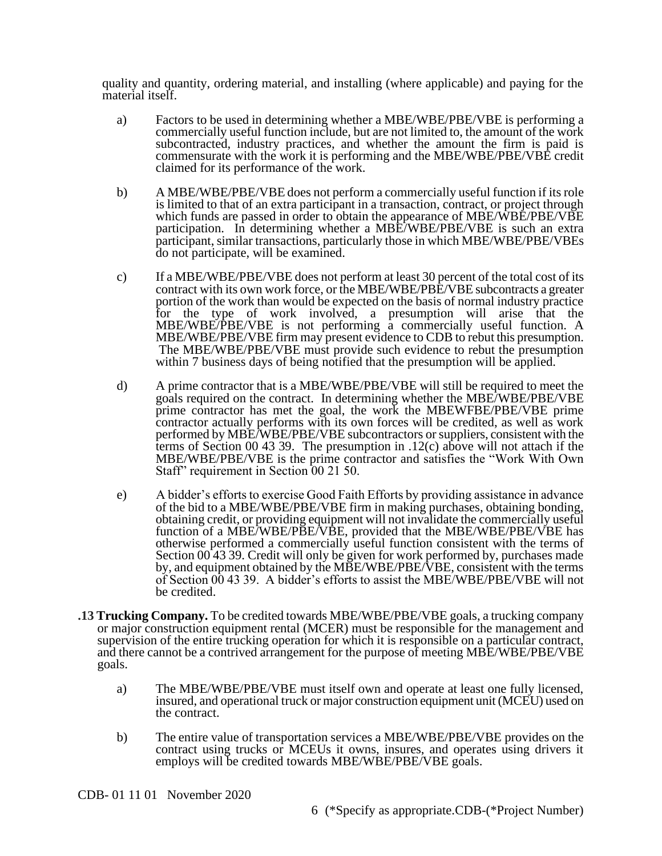quality and quantity, ordering material, and installing (where applicable) and paying for the material itself.

- a) Factors to be used in determining whether a MBE/WBE/PBE/VBE is performing a commercially useful function include, but are not limited to, the amount of the work subcontracted, industry practices, and whether the amount the firm is paid is commensurate with the work it is performing and the MBE/WBE/PBE/VBE credit claimed for its performance of the work.
- b) A MBE/WBE/PBE/VBE does not perform a commercially useful function if its role is limited to that of an extra participant in a transaction, contract, or project through which funds are passed in order to obtain the appearance of MBE/WBE/PBE/VBE participation. In determining whether a MBE/WBE/PBE/VBE is such an extra participant, similar transactions, particularly those in which MBE/WBE/PBE/VBEs do not participate, will be examined.
- c) If a MBE/WBE/PBE/VBE does not perform at least 30 percent of the total cost of its contract with its own work force, or the MBE/WBE/PBE/VBE subcontracts a greater portion of the work than would be expected on the basis of normal industry practice for the type of work involved, a presumption will arise that the MBE/WBE/PBE/VBE is not performing a commercially useful function. A MBE/WBE/PBE/VBE firm may present evidence to CDB to rebut this presumption. The MBE/WBE/PBE/VBE must provide such evidence to rebut the presumption within 7 business days of being notified that the presumption will be applied.
- d) A prime contractor that is a MBE/WBE/PBE/VBE will still be required to meet the goals required on the contract. In determining whether the MBE/WBE/PBE/VBE prime contractor has met the goal, the work the MBEWFBE/PBE/VBE prime contractor actually performs with its own forces will be credited, as well as work performed by MBE/WBE/PBE/VBE subcontractors or suppliers, consistent with the terms of Section 00 43 39. The presumption in .12(c) above will not attach if the MBE/WBE/PBE/VBE is the prime contractor and satisfies the "Work With Own Staff" requirement in Section 00 21 50.
- e) A bidder's efforts to exercise Good Faith Efforts by providing assistance in advance of the bid to a MBE/WBE/PBE/VBE firm in making purchases, obtaining bonding, obtaining credit, or providing equipment will not invalidate the commercially useful function of a MBE/WBE/PBE/VBE, provided that the MBE/WBE/PBE/VBE has otherwise performed a commercially useful function consistent with the terms of Section 00 43 39. Credit will only be given for work performed by, purchases made by, and equipment obtained by the MBE/WBE/PBE/VBE, consistent with the terms of Section 00 43 39. A bidder's efforts to assist the MBE/WBE/PBE/VBE will not be credited.
- **.13 Trucking Company.** To be credited towards MBE/WBE/PBE/VBE goals, a trucking company or major construction equipment rental (MCER) must be responsible for the management and supervision of the entire trucking operation for which it is responsible on a particular contract, and there cannot be a contrived arrangement for the purpose of meeting MBE/WBE/PBE/VBE goals.
	- a) The MBE/WBE/PBE/VBE must itself own and operate at least one fully licensed, insured, and operational truck or major construction equipment unit (MCEU) used on the contract.
	- b) The entire value of transportation services a MBE/WBE/PBE/VBE provides on the contract using trucks or MCEUs it owns, insures, and operates using drivers it employs will be credited towards MBE/WBE/PBE/VBE goals.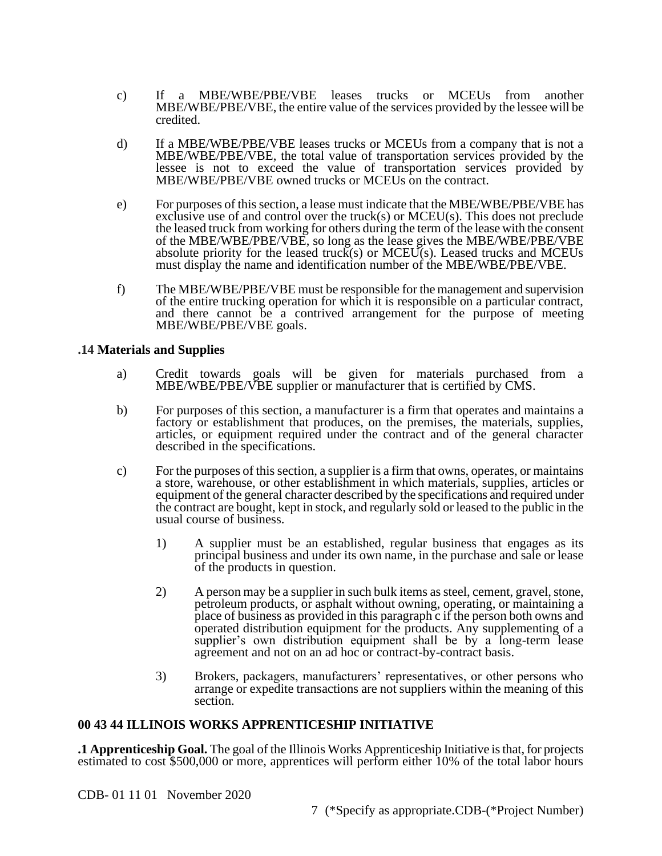- c) If a MBE/WBE/PBE/VBE leases trucks or MCEUs from another MBE/WBE/PBE/VBE, the entire value of the services provided by the lessee will be credited.
- d) If a MBE/WBE/PBE/VBE leases trucks or MCEUs from a company that is not a MBE/WBE/PBE/VBE, the total value of transportation services provided by the lessee is not to exceed the value of transportation services provided by MBE/WBE/PBE/VBE owned trucks or MCEUs on the contract.
- e) For purposes of this section, a lease must indicate that the MBE/WBE/PBE/VBE has exclusive use of and control over the truck(s) or MCEU(s). This does not preclude the leased truck from working for others during the term of the lease with the consent of the MBE/WBE/PBE/VBE, so long as the lease gives the MBE/WBE/PBE/VBE absolute priority for the leased truck(s) or MCEU(s). Leased trucks and MCEUs must display the name and identification number of the MBE/WBE/PBE/VBE.
- f) The MBE/WBE/PBE/VBE must be responsible for the management and supervision of the entire trucking operation for which it is responsible on a particular contract, and there cannot be a contrived arrangement for the purpose of meeting MBE/WBE/PBE/VBE goals.

### **.14 Materials and Supplies**

- a) Credit towards goals will be given for materials purchased from a MBE/WBE/PBE/VBE supplier or manufacturer that is certified by CMS.
- b) For purposes of this section, a manufacturer is a firm that operates and maintains a factory or establishment that produces, on the premises, the materials, supplies, articles, or equipment required under the contract and of the general character described in the specifications.
- c) For the purposes of this section, a supplier is a firm that owns, operates, or maintains a store, warehouse, or other establishment in which materials, supplies, articles or equipment of the general character described by the specifications and required under the contract are bought, kept in stock, and regularly sold or leased to the public in the usual course of business.
	- 1) A supplier must be an established, regular business that engages as its principal business and under its own name, in the purchase and sale or lease of the products in question.
	- 2) A person may be a supplier in such bulk items as steel, cement, gravel, stone, petroleum products, or asphalt without owning, operating, or maintaining a place of business as provided in this paragraph c if the person both owns and operated distribution equipment for the products. Any supplementing of a supplier's own distribution equipment shall be by a long-term lease agreement and not on an ad hoc or contract-by-contract basis.
	- 3) Brokers, packagers, manufacturers' representatives, or other persons who arrange or expedite transactions are not suppliers within the meaning of this section.

## **00 43 44 ILLINOIS WORKS APPRENTICESHIP INITIATIVE**

**.1 Apprenticeship Goal.** The goal of the Illinois Works Apprenticeship Initiative is that, for projects estimated to cost \$500,000 or more, apprentices will perform either 10% of the total labor hours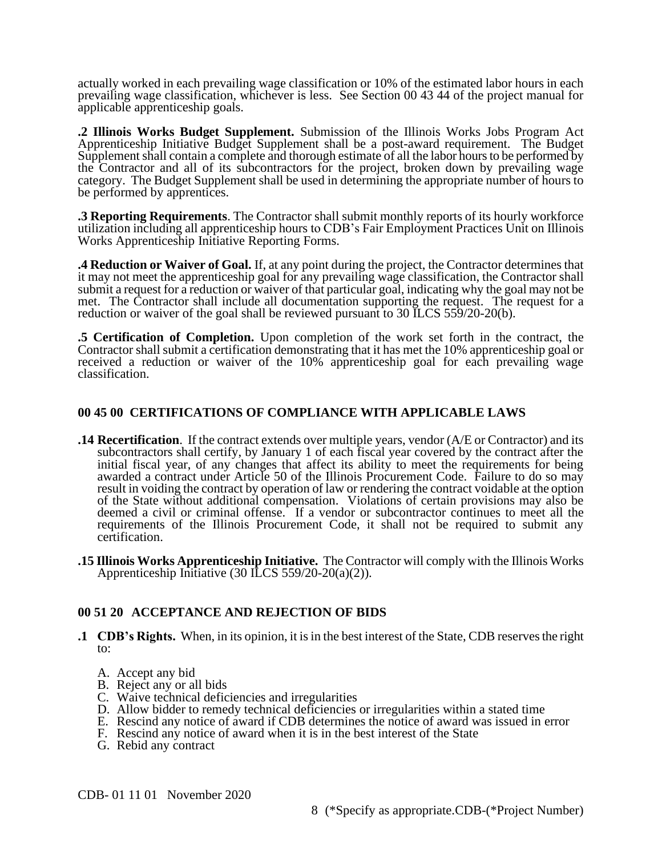actually worked in each prevailing wage classification or 10% of the estimated labor hours in each prevailing wage classification, whichever is less. See Section 00 43 44 of the project manual for applicable apprenticeship goals.

**.2 Illinois Works Budget Supplement.** Submission of the Illinois Works Jobs Program Act Apprenticeship Initiative Budget Supplement shall be a post-award requirement. The Budget Supplement shall contain a complete and thorough estimate of all the labor hours to be performed by the Contractor and all of its subcontractors for the project, broken down by prevailing wage category. The Budget Supplement shall be used in determining the appropriate number of hours to be performed by apprentices.

**.3 Reporting Requirements**. The Contractor shall submit monthly reports of its hourly workforce utilization including all apprenticeship hours to CDB's Fair Employment Practices Unit on Illinois Works Apprenticeship Initiative Reporting Forms.

**.4 Reduction or Waiver of Goal.** If, at any point during the project, the Contractor determines that it may not meet the apprenticeship goal for any prevailing wage classification, the Contractor shall submit a request for a reduction or waiver of that particular goal, indicating why the goal may not be met. The Contractor shall include all documentation supporting the request. The request for a reduction or waiver of the goal shall be reviewed pursuant to 30 ILCS 559/20-20(b).

**.5 Certification of Completion.** Upon completion of the work set forth in the contract, the Contractor shall submit a certification demonstrating that it has met the 10% apprenticeship goal or received a reduction or waiver of the 10% apprenticeship goal for each prevailing wage classification.

## **00 45 00 CERTIFICATIONS OF COMPLIANCE WITH APPLICABLE LAWS**

- **.14 Recertification**. If the contract extends over multiple years, vendor (A/E or Contractor) and its subcontractors shall certify, by January 1 of each fiscal year covered by the contract after the initial fiscal year, of any changes that affect its ability to meet the requirements for being awarded a contract under Article 50 of the Illinois Procurement Code. Failure to do so may result in voiding the contract by operation of law or rendering the contract voidable at the option of the State without additional compensation. Violations of certain provisions may also be deemed a civil or criminal offense. If a vendor or subcontractor continues to meet all the requirements of the Illinois Procurement Code, it shall not be required to submit any certification.
- **.15 Illinois Works Apprenticeship Initiative.** The Contractor will comply with the Illinois Works Apprenticeship Initiative  $(30 \text{ ILCS } 559/20-20(a)(2)).$

## **00 51 20 ACCEPTANCE AND REJECTION OF BIDS**

- **.1 CDB's Rights.** When, in its opinion, it is in the best interest of the State, CDB reserves the right to:
	- A. Accept any bid
	- B. Reject any or all bids
	- C. Waive technical deficiencies and irregularities
	- D. Allow bidder to remedy technical deficiencies or irregularities within a stated time
	- E. Rescind any notice of award if CDB determines the notice of award was issued in error
	- F. Rescind any notice of award when it is in the best interest of the State
	- G. Rebid any contract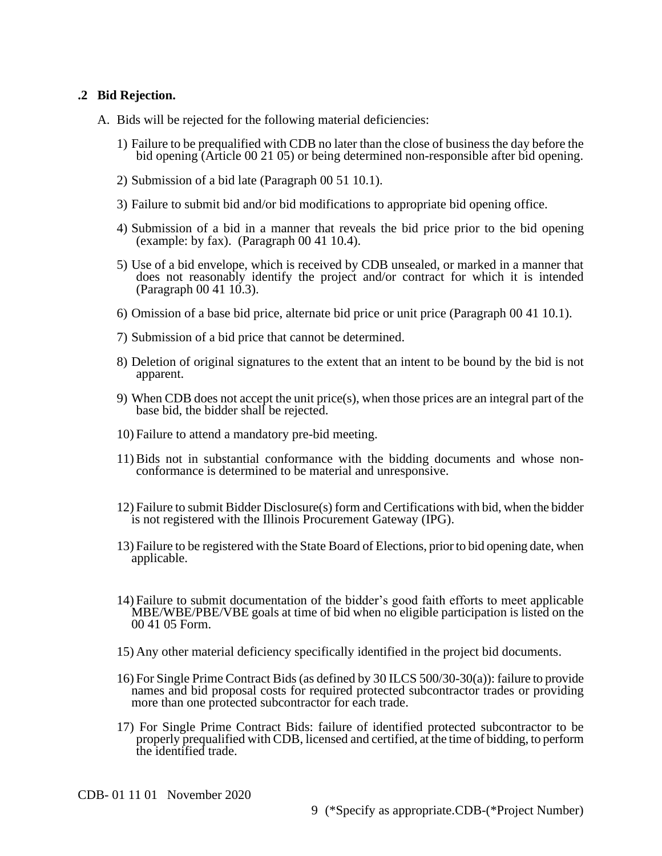### **.2 Bid Rejection.**

- A. Bids will be rejected for the following material deficiencies:
	- 1) Failure to be prequalified with CDB no later than the close of business the day before the bid opening (Article 00 21 05) or being determined non-responsible after bid opening.
	- 2) Submission of a bid late (Paragraph 00 51 10.1).
	- 3) Failure to submit bid and/or bid modifications to appropriate bid opening office.
	- 4) Submission of a bid in a manner that reveals the bid price prior to the bid opening (example: by fax). (Paragraph 00 41 10.4).
	- 5) Use of a bid envelope, which is received by CDB unsealed, or marked in a manner that does not reasonably identify the project and/or contract for which it is intended (Paragraph 00 41 10.3).
	- 6) Omission of a base bid price, alternate bid price or unit price (Paragraph 00 41 10.1).
	- 7) Submission of a bid price that cannot be determined.
	- 8) Deletion of original signatures to the extent that an intent to be bound by the bid is not apparent.
	- 9) When CDB does not accept the unit price(s), when those prices are an integral part of the base bid, the bidder shall be rejected.
	- 10) Failure to attend a mandatory pre-bid meeting.
	- 11) Bids not in substantial conformance with the bidding documents and whose nonconformance is determined to be material and unresponsive.
	- 12) Failure to submit Bidder Disclosure(s) form and Certifications with bid, when the bidder is not registered with the Illinois Procurement Gateway (IPG).
	- 13) Failure to be registered with the State Board of Elections, prior to bid opening date, when applicable.
	- 14) Failure to submit documentation of the bidder's good faith efforts to meet applicable MBE/WBE/PBE/VBE goals at time of bid when no eligible participation is listed on the 00 41 05 Form.
	- 15) Any other material deficiency specifically identified in the project bid documents.
	- 16) For Single Prime Contract Bids (as defined by 30 ILCS 500/30-30(a)): failure to provide names and bid proposal costs for required protected subcontractor trades or providing more than one protected subcontractor for each trade.
	- 17) For Single Prime Contract Bids: failure of identified protected subcontractor to be properly prequalified with CDB, licensed and certified, at the time of bidding, to perform the identified trade.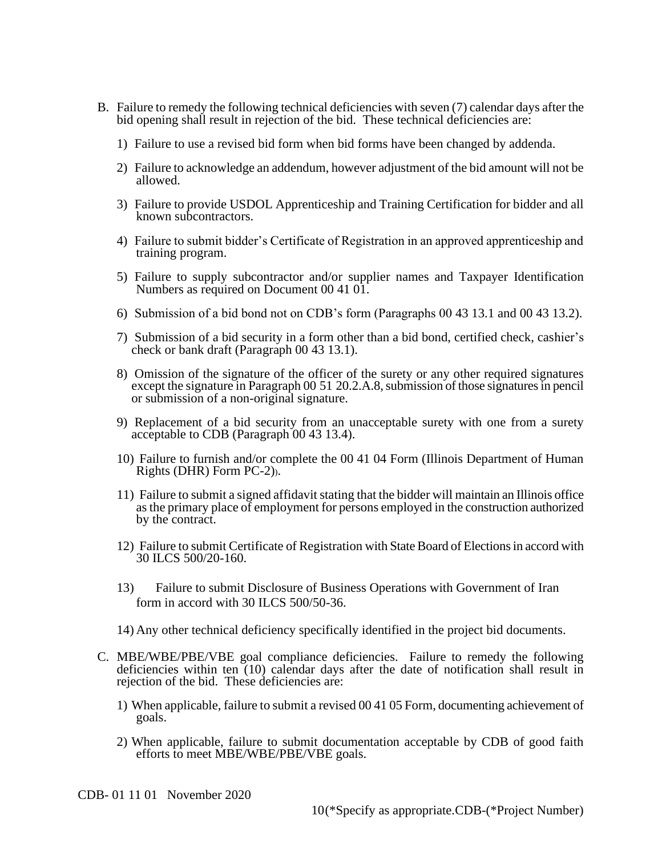- B. Failure to remedy the following technical deficiencies with seven (7) calendar days after the bid opening shall result in rejection of the bid. These technical deficiencies are:
	- 1) Failure to use a revised bid form when bid forms have been changed by addenda.
	- 2) Failure to acknowledge an addendum, however adjustment of the bid amount will not be allowed.
	- 3) Failure to provide USDOL Apprenticeship and Training Certification for bidder and all known subcontractors.
	- 4) Failure to submit bidder's Certificate of Registration in an approved apprenticeship and training program.
	- 5) Failure to supply subcontractor and/or supplier names and Taxpayer Identification Numbers as required on Document 00 41 01.
	- 6) Submission of a bid bond not on CDB's form (Paragraphs 00 43 13.1 and 00 43 13.2).
	- 7) Submission of a bid security in a form other than a bid bond, certified check, cashier's check or bank draft (Paragraph 00 43 13.1).
	- 8) Omission of the signature of the officer of the surety or any other required signatures except the signature in Paragraph 00 51 20.2.A.8, submission of those signatures in pencil or submission of a non-original signature.
	- 9) Replacement of a bid security from an unacceptable surety with one from a surety acceptable to CDB (Paragraph 00 43 13.4).
	- 10) Failure to furnish and/or complete the 00 41 04 Form (Illinois Department of Human Rights (DHR) Form PC-2)).
	- 11) Failure to submit a signed affidavit stating that the bidder will maintain an Illinois office as the primary place of employment for persons employed in the construction authorized by the contract.
	- 12) Failure to submit Certificate of Registration with State Board of Elections in accord with 30 ILCS 500/20-160.
	- 13) Failure to submit Disclosure of Business Operations with Government of Iran form in accord with 30 ILCS 500/50-36.
	- 14) Any other technical deficiency specifically identified in the project bid documents.
- C. MBE/WBE/PBE/VBE goal compliance deficiencies. Failure to remedy the following deficiencies within ten (10) calendar days after the date of notification shall result in rejection of the bid. These deficiencies are:
	- 1) When applicable, failure to submit a revised 00 41 05 Form, documenting achievement of goals.
	- 2) When applicable, failure to submit documentation acceptable by CDB of good faith efforts to meet MBE/WBE/PBE/VBE goals.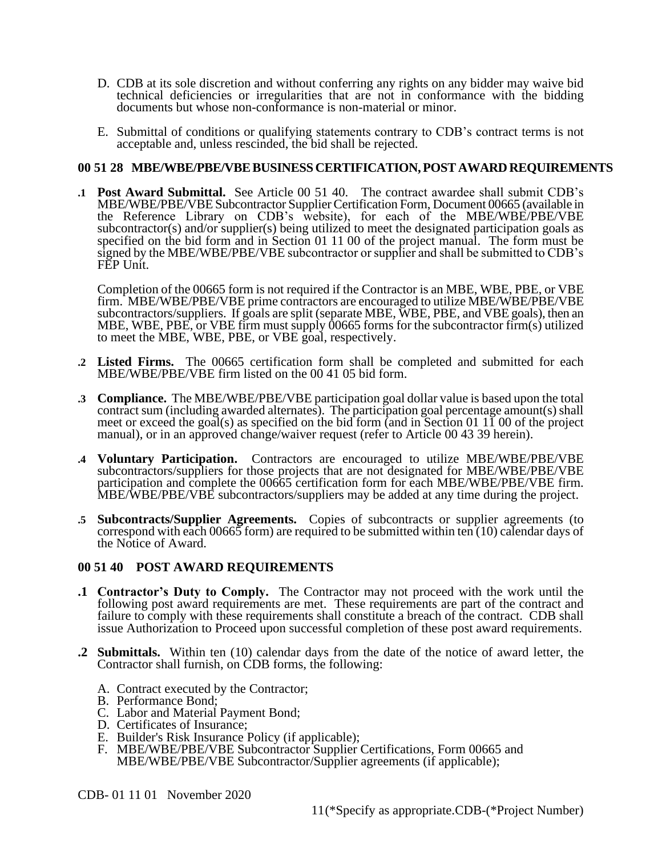- D. CDB at its sole discretion and without conferring any rights on any bidder may waive bid technical deficiencies or irregularities that are not in conformance with the bidding documents but whose non-conformance is non-material or minor.
- E. Submittal of conditions or qualifying statements contrary to CDB's contract terms is not acceptable and, unless rescinded, the bid shall be rejected.

#### **00 51 28 MBE/WBE/PBE/VBEBUSINESSCERTIFICATION, POST AWARD REQUIREMENTS**

**.1 Post Award Submittal.** See Article 00 51 40. The contract awardee shall submit CDB's MBE/WBE/PBE/VBE Subcontractor Supplier Certification Form, Document 00665 (available in the Reference Library on CDB's website), for each of the MBE/WBE/PBE/VBE subcontractor(s) and/or supplier(s) being utilized to meet the designated participation goals as specified on the bid form and in Section 01 11 00 of the project manual. The form must be signed by the MBE/WBE/PBE/VBE subcontractor or supplier and shall be submitted to CDB's FEP Unit.

Completion of the 00665 form is not required if the Contractor is an MBE, WBE, PBE, or VBE firm. MBE/WBE/PBE/VBE prime contractors are encouraged to utilize MBE/WBE/PBE/VBE subcontractors/suppliers. If goals are split (separate MBE, WBE, PBE, and VBE goals), then an MBE, WBE, PBE, or VBE firm must supply 00665 forms for the subcontractor firm(s) utilized to meet the MBE, WBE, PBE, or VBE goal, respectively.

- **.2 Listed Firms.** The 00665 certification form shall be completed and submitted for each MBE/WBE/PBE/VBE firm listed on the 00 41 05 bid form.
- **.3 Compliance.** The MBE/WBE/PBE/VBE participation goal dollar value is based upon the total contract sum (including awarded alternates). The participation goal percentage amount(s) shall meet or exceed the goal(s) as specified on the bid form (and in Section 01 11 00 of the project manual), or in an approved change/waiver request (refer to Article 00 43 39 herein).
- **.4 Voluntary Participation.** Contractors are encouraged to utilize MBE/WBE/PBE/VBE subcontractors/suppliers for those projects that are not designated for MBE/WBE/PBE/VBE participation and complete the 00665 certification form for each MBE/WBE/PBE/VBE firm. MBE/WBE/PBE/VBE subcontractors/suppliers may be added at any time during the project.
- **.5 Subcontracts/Supplier Agreements.** Copies of subcontracts or supplier agreements (to correspond with each 00665 form) are required to be submitted within ten (10) calendar days of the Notice of Award.

## **00 51 40 POST AWARD REQUIREMENTS**

- **.1 Contractor's Duty to Comply.** The Contractor may not proceed with the work until the following post award requirements are met. These requirements are part of the contract and failure to comply with these requirements shall constitute a breach of the contract. CDB shall issue Authorization to Proceed upon successful completion of these post award requirements.
- **.2 Submittals.** Within ten (10) calendar days from the date of the notice of award letter, the Contractor shall furnish, on CDB forms, the following:
	- A. Contract executed by the Contractor;
	- B. Performance Bond;
	- C. Labor and Material Payment Bond;
	- D. Certificates of Insurance;
	- E. Builder's Risk Insurance Policy (if applicable);
	- F. MBE/WBE/PBE/VBE Subcontractor Supplier Certifications, Form 00665 and MBE/WBE/PBE/VBE Subcontractor/Supplier agreements (if applicable);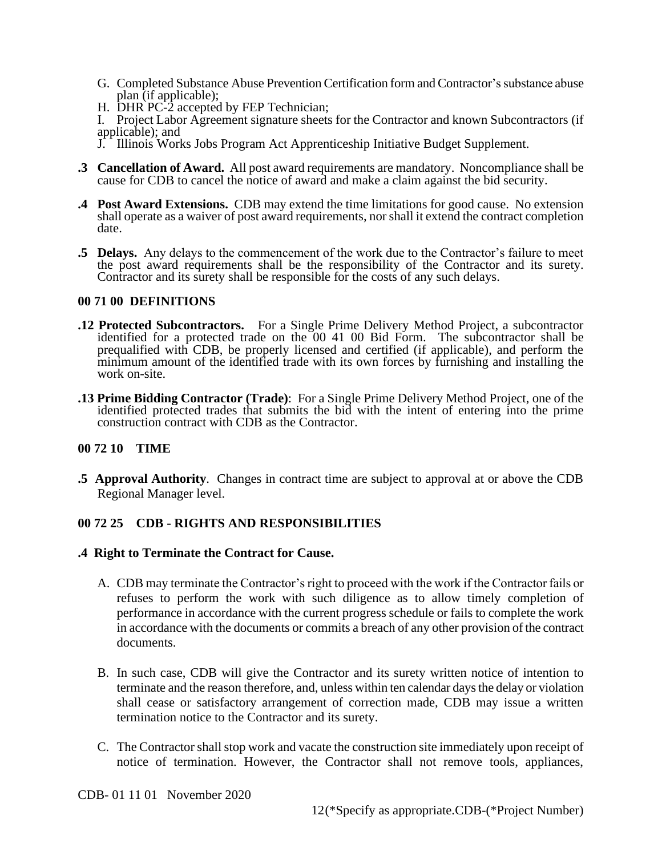- G. Completed Substance Abuse Prevention Certification form and Contractor's substance abuse plan (if applicable);
- H. DHR PC-2 accepted by FEP Technician;

I. Project Labor Agreement signature sheets for the Contractor and known Subcontractors (if applicable); and

- J. Illinois Works Jobs Program Act Apprenticeship Initiative Budget Supplement.
- **.3 Cancellation of Award.** All post award requirements are mandatory. Noncompliance shall be cause for CDB to cancel the notice of award and make a claim against the bid security.
- **.4 Post Award Extensions.** CDB may extend the time limitations for good cause. No extension shall operate as a waiver of post award requirements, nor shall it extend the contract completion date.
- **.5 Delays.** Any delays to the commencement of the work due to the Contractor's failure to meet the post award requirements shall be the responsibility of the Contractor and its surety. Contractor and its surety shall be responsible for the costs of any such delays.

### **00 71 00 DEFINITIONS**

- **.12 Protected Subcontractors.** For a Single Prime Delivery Method Project, a subcontractor identified for a protected trade on the 00 41 00 Bid Form. The subcontractor shall be prequalified with CDB, be properly licensed and certified (if applicable), and perform the minimum amount of the identified trade with its own forces by furnishing and installing the work on-site.
- **.13 Prime Bidding Contractor (Trade)**: For a Single Prime Delivery Method Project, one of the identified protected trades that submits the bid with the intent of entering into the prime construction contract with CDB as the Contractor.

## **00 72 10 TIME**

**.5 Approval Authority**. Changes in contract time are subject to approval at or above the CDB Regional Manager level.

## **00 72 25 CDB - RIGHTS AND RESPONSIBILITIES**

## **.4 Right to Terminate the Contract for Cause.**

- A. CDB may terminate the Contractor's right to proceed with the work if the Contractor fails or refuses to perform the work with such diligence as to allow timely completion of performance in accordance with the current progress schedule or fails to complete the work in accordance with the documents or commits a breach of any other provision of the contract documents.
- B. In such case, CDB will give the Contractor and its surety written notice of intention to terminate and the reason therefore, and, unless within ten calendar days the delay or violation shall cease or satisfactory arrangement of correction made, CDB may issue a written termination notice to the Contractor and its surety.
- C. The Contractor shall stop work and vacate the construction site immediately upon receipt of notice of termination. However, the Contractor shall not remove tools, appliances,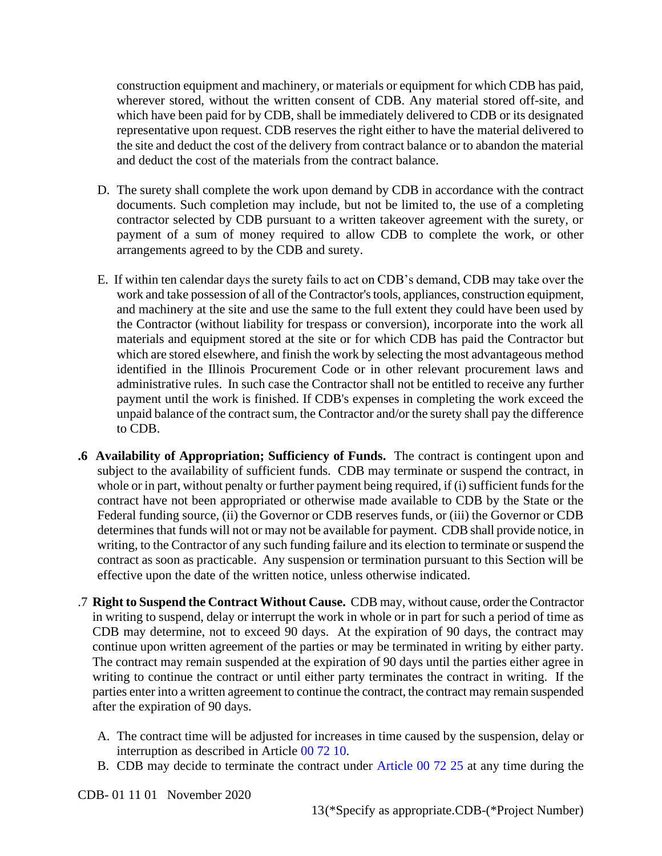construction equipment and machinery, or materials or equipment for which CDB has paid, wherever stored, without the written consent of CDB. Any material stored off-site, and which have been paid for by CDB, shall be immediately delivered to CDB or its designated representative upon request. CDB reserves the right either to have the material delivered to the site and deduct the cost of the delivery from contract balance or to abandon the material and deduct the cost of the materials from the contract balance.

- D. The surety shall complete the work upon demand by CDB in accordance with the contract documents. Such completion may include, but not be limited to, the use of a completing contractor selected by CDB pursuant to a written takeover agreement with the surety, or payment of a sum of money required to allow CDB to complete the work, or other arrangements agreed to by the CDB and surety.
- E. If within ten calendar days the surety fails to act on CDB's demand, CDB may take over the work and take possession of all of the Contractor's tools, appliances, construction equipment, and machinery at the site and use the same to the full extent they could have been used by the Contractor (without liability for trespass or conversion), incorporate into the work all materials and equipment stored at the site or for which CDB has paid the Contractor but which are stored elsewhere, and finish the work by selecting the most advantageous method identified in the Illinois Procurement Code or in other relevant procurement laws and administrative rules. In such case the Contractor shall not be entitled to receive any further payment until the work is finished. If CDB's expenses in completing the work exceed the unpaid balance of the contract sum, the Contractor and/or the surety shall pay the difference to CDB.
- **.6 Availability of Appropriation; Sufficiency of Funds.** The contract is contingent upon and subject to the availability of sufficient funds. CDB may terminate or suspend the contract, in whole or in part, without penalty or further payment being required, if (i) sufficient funds for the contract have not been appropriated or otherwise made available to CDB by the State or the Federal funding source, (ii) the Governor or CDB reserves funds, or (iii) the Governor or CDB determines that funds will not or may not be available for payment. CDB shall provide notice, in writing, to the Contractor of any such funding failure and its election to terminate or suspend the contract as soon as practicable. Any suspension or termination pursuant to this Section will be effective upon the date of the written notice, unless otherwise indicated.
- .7 **Right to Suspend the Contract Without Cause.** CDB may, without cause, order the Contractor in writing to suspend, delay or interrupt the work in whole or in part for such a period of time as CDB may determine, not to exceed 90 days. At the expiration of 90 days, the contract may continue upon written agreement of the parties or may be terminated in writing by either party. The contract may remain suspended at the expiration of 90 days until the parties either agree in writing to continue the contract or until either party terminates the contract in writing. If the parties enter into a written agreement to continue the contract, the contract may remain suspended after the expiration of 90 days.
	- A. The contract time will be adjusted for increases in time caused by the suspension, delay or interruption as described in Article 00 72 10.
	- B. CDB may decide to terminate the contract under Article 00 72 25 at any time during the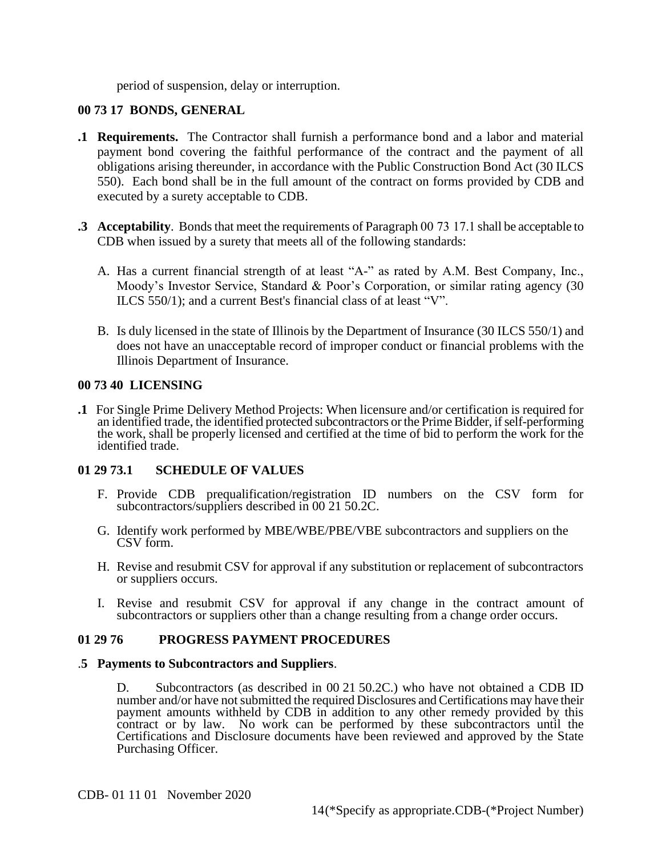period of suspension, delay or interruption.

# **00 73 17 BONDS, GENERAL**

- **.1 Requirements.** The Contractor shall furnish a performance bond and a labor and material payment bond covering the faithful performance of the contract and the payment of all obligations arising thereunder, in accordance with the Public Construction Bond Act (30 ILCS 550). Each bond shall be in the full amount of the contract on forms provided by CDB and executed by a surety acceptable to CDB.
- **.3 Acceptability**. Bonds that meet the requirements of Paragraph 00 73 17.1 shall be acceptable to CDB when issued by a surety that meets all of the following standards:
	- A. Has a current financial strength of at least "A-" as rated by A.M. Best Company, Inc., Moody's Investor Service, Standard & Poor's Corporation, or similar rating agency (30 ILCS 550/1); and a current Best's financial class of at least "V".
	- B. Is duly licensed in the state of Illinois by the Department of Insurance (30 ILCS 550/1) and does not have an unacceptable record of improper conduct or financial problems with the Illinois Department of Insurance.

## **00 73 40 LICENSING**

**.1** For Single Prime Delivery Method Projects: When licensure and/or certification is required for an identified trade, the identified protected subcontractors or the Prime Bidder, ifself-performing the work, shall be properly licensed and certified at the time of bid to perform the work for the identified trade.

## **01 29 73.1 SCHEDULE OF VALUES**

- F. Provide CDB prequalification/registration ID numbers on the CSV form for subcontractors/suppliers described in 00 21 50.2C.
- G. Identify work performed by MBE/WBE/PBE/VBE subcontractors and suppliers on the CSV form.
- H. Revise and resubmit CSV for approval if any substitution or replacement of subcontractors or suppliers occurs.
- I. Revise and resubmit CSV for approval if any change in the contract amount of subcontractors or suppliers other than a change resulting from a change order occurs.

#### **01 29 76 PROGRESS PAYMENT PROCEDURES**

#### .**5 Payments to Subcontractors and Suppliers**.

D. Subcontractors (as described in 00 21 50.2C.) who have not obtained a CDB ID number and/or have not submitted the required Disclosures and Certifications may have their payment amounts withheld by CDB in addition to any other remedy provided by this contract or by law. No work can be performed by these subcontractors until the Certifications and Disclosure documents have been reviewed and approved by the State Purchasing Officer.